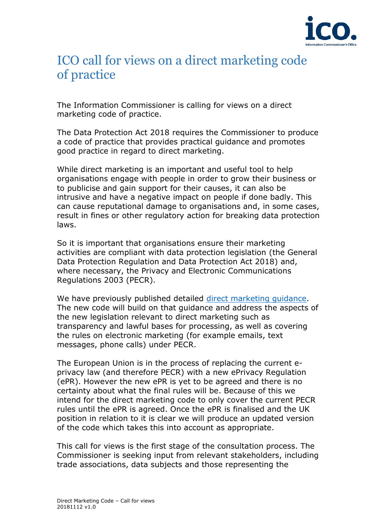

# ICO call for views on a direct marketing code of practice

The Information Commissioner is calling for views on a direct marketing code of practice.

The Data Protection Act 2018 requires the Commissioner to produce a code of practice that provides practical guidance and promotes good practice in regard to direct marketing.

While direct marketing is an important and useful tool to help organisations engage with people in order to grow their business or to publicise and gain support for their causes, it can also be intrusive and have a negative impact on people if done badly. This can cause reputational damage to organisations and, in some cases, result in fines or other regulatory action for breaking data protection laws.

So it is important that organisations ensure their marketing activities are compliant with data protection legislation (the General Data Protection Regulation and Data Protection Act 2018) and, where necessary, the Privacy and Electronic Communications Regulations 2003 (PECR).

We have previously published detailed [direct marketing guidance.](https://ico.org.uk/media/for-organisations/documents/1555/direct-marketing-guidance.pdf) The new code will build on that guidance and address the aspects of the new legislation relevant to direct marketing such as transparency and lawful bases for processing, as well as covering the rules on electronic marketing (for example emails, text messages, phone calls) under PECR.

The European Union is in the process of replacing the current eprivacy law (and therefore PECR) with a new ePrivacy Regulation (ePR). However the new ePR is yet to be agreed and there is no certainty about what the final rules will be. Because of this we intend for the direct marketing code to only cover the current PECR rules until the ePR is agreed. Once the ePR is finalised and the UK position in relation to it is clear we will produce an updated version of the code which takes this into account as appropriate.

This call for views is the first stage of the consultation process. The Commissioner is seeking input from relevant stakeholders, including trade associations, data subjects and those representing the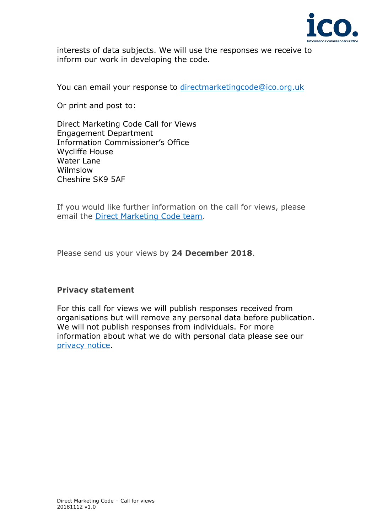

interests of data subjects. We will use the responses we receive to inform our work in developing the code.

You can email your response to [directmarketingcode@ico.org.uk](mailto:directmarketingcode@ico.org.uk)

Or print and post to:

Direct Marketing Code Call for Views Engagement Department Information Commissioner's Office Wycliffe House Water Lane Wilmslow Cheshire SK9 5AF

If you would like further information on the call for views, please email the [Direct Marketing Code team.](mailto:directmarketingcode@ico.org.uk)

Please send us your views by **24 December 2018**.

# **Privacy statement**

For this call for views we will publish responses received from organisations but will remove any personal data before publication. We will not publish responses from individuals. For more information about what we do with personal data please see our [privacy notice.](https://ico.org.uk/global/privacy-notice/)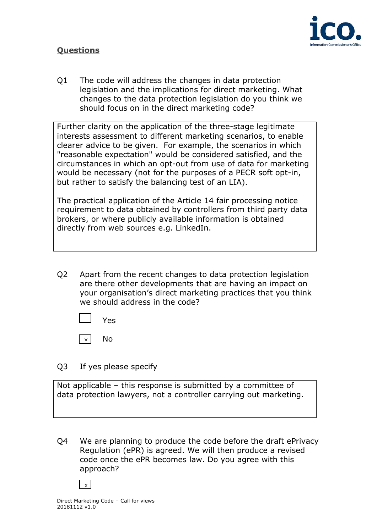# **Questions**



Q1 The code will address the changes in data protection legislation and the implications for direct marketing. What changes to the data protection legislation do you think we should focus on in the direct marketing code?

Further clarity on the application of the three-stage legitimate interests assessment to different marketing scenarios, to enable clearer advice to be given. For example, the scenarios in which "reasonable expectation" would be considered satisfied, and the circumstances in which an opt-out from use of data for marketing would be necessary (not for the purposes of a PECR soft opt-in, but rather to satisfy the balancing test of an LIA).

The practical application of the Article 14 fair processing notice requirement to data obtained by controllers from third party data brokers, or where publicly available information is obtained directly from web sources e.g. LinkedIn.

Q2 Apart from the recent changes to data protection legislation are there other developments that are having an impact on your organisation's direct marketing practices that you think we should address in the code?

Yes

No  $\mathbf{x}$ 

Q3 If yes please specify

Not applicable – this response is submitted by a committee of data protection lawyers, not a controller carrying out marketing.

Q4 We are planning to produce the code before the draft ePrivacy Regulation (ePR) is agreed. We will then produce a revised code once the ePR becomes law. Do you agree with this approach?

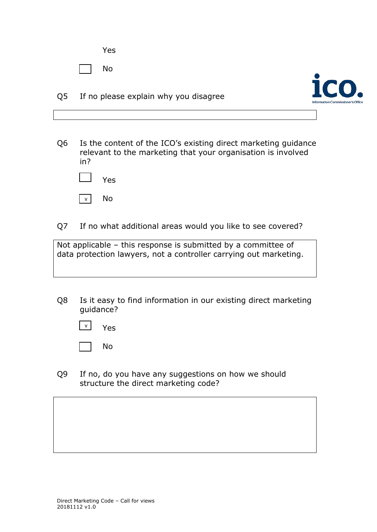Yes

No

Q5 If no please explain why you disagree



Q6 Is the content of the ICO's existing direct marketing guidance relevant to the marketing that your organisation is involved in?



Q7 If no what additional areas would you like to see covered?

Not applicable – this response is submitted by a committee of data protection lawyers, not a controller carrying out marketing.

Q8 Is it easy to find information in our existing direct marketing guidance?



No

Q9 If no, do you have any suggestions on how we should structure the direct marketing code?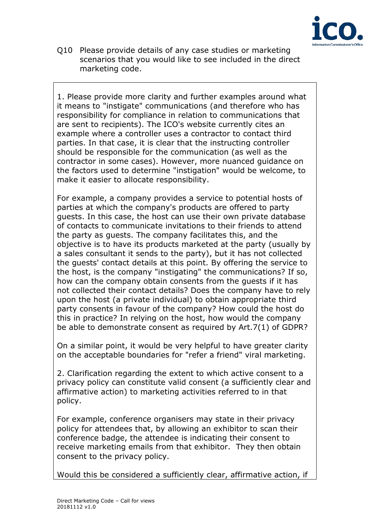

Q10 Please provide details of any case studies or marketing scenarios that you would like to see included in the direct marketing code.

1. Please provide more clarity and further examples around what it means to "instigate" communications (and therefore who has responsibility for compliance in relation to communications that are sent to recipients). The ICO's website currently cites an example where a controller uses a contractor to contact third parties. In that case, it is clear that the instructing controller should be responsible for the communication (as well as the contractor in some cases). However, more nuanced guidance on the factors used to determine "instigation" would be welcome, to make it easier to allocate responsibility.

For example, a company provides a service to potential hosts of parties at which the company's products are offered to party guests. In this case, the host can use their own private database of contacts to communicate invitations to their friends to attend the party as guests. The company facilitates this, and the objective is to have its products marketed at the party (usually by a sales consultant it sends to the party), but it has not collected the guests' contact details at this point. By offering the service to the host, is the company "instigating" the communications? If so, how can the company obtain consents from the guests if it has not collected their contact details? Does the company have to rely upon the host (a private individual) to obtain appropriate third party consents in favour of the company? How could the host do this in practice? In relying on the host, how would the company be able to demonstrate consent as required by Art.7(1) of GDPR?

On a similar point, it would be very helpful to have greater clarity on the acceptable boundaries for "refer a friend" viral marketing.

2. Clarification regarding the extent to which active consent to a privacy policy can constitute valid consent (a sufficiently clear and affirmative action) to marketing activities referred to in that policy.

For example, conference organisers may state in their privacy policy for attendees that, by allowing an exhibitor to scan their conference badge, the attendee is indicating their consent to receive marketing emails from that exhibitor. They then obtain consent to the privacy policy.

Would this be considered a sufficiently clear, affirmative action, if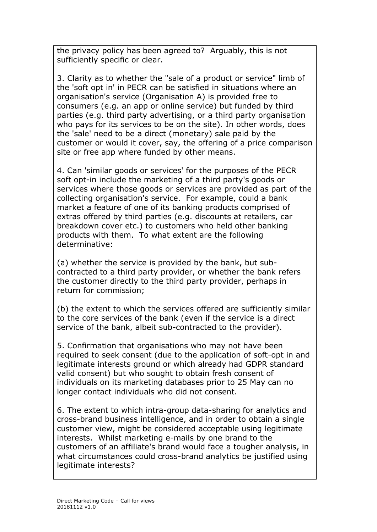the privacy policy has been agreed to? Arguably, this is not sufficiently specific or clear.

3. Clarity as to whether the "sale of a product or service" limb of the 'soft opt in' in PECR can be satisfied in situations where an organisation's service (Organisation A) is provided free to consumers (e.g. an app or online service) but funded by third parties (e.g. third party advertising, or a third party organisation who pays for its services to be on the site). In other words, does the 'sale' need to be a direct (monetary) sale paid by the customer or would it cover, say, the offering of a price comparison site or free app where funded by other means.

4. Can 'similar goods or services' for the purposes of the PECR soft opt-in include the marketing of a third party's goods or services where those goods or services are provided as part of the collecting organisation's service. For example, could a bank market a feature of one of its banking products comprised of extras offered by third parties (e.g. discounts at retailers, car breakdown cover etc.) to customers who held other banking products with them. To what extent are the following determinative:

(a) whether the service is provided by the bank, but subcontracted to a third party provider, or whether the bank refers the customer directly to the third party provider, perhaps in return for commission;

(b) the extent to which the services offered are sufficiently similar to the core services of the bank (even if the service is a direct service of the bank, albeit sub-contracted to the provider).

5. Confirmation that organisations who may not have been required to seek consent (due to the application of soft-opt in and legitimate interests ground or which already had GDPR standard valid consent) but who sought to obtain fresh consent of individuals on its marketing databases prior to 25 May can no longer contact individuals who did not consent.

6. The extent to which intra-group data-sharing for analytics and cross-brand business intelligence, and in order to obtain a single customer view, might be considered acceptable using legitimate interests. Whilst marketing e-mails by one brand to the customers of an affiliate's brand would face a tougher analysis, in what circumstances could cross-brand analytics be justified using legitimate interests?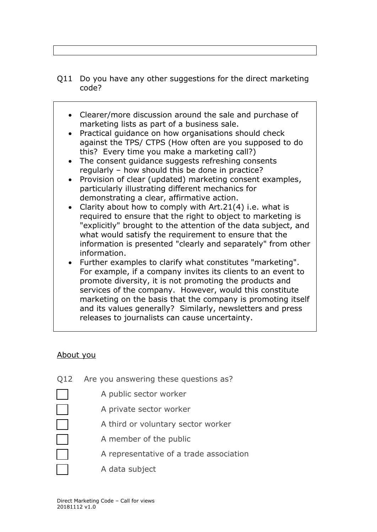- Q11 Do you have any other suggestions for the direct marketing code?
	- Clearer/more discussion around the sale and purchase of marketing lists as part of a business sale.
	- Practical guidance on how organisations should check against the TPS/ CTPS (How often are you supposed to do this? Every time you make a marketing call?)
	- The consent guidance suggests refreshing consents regularly – how should this be done in practice?
	- Provision of clear (updated) marketing consent examples, particularly illustrating different mechanics for demonstrating a clear, affirmative action.
	- Clarity about how to comply with Art.21(4) i.e. what is required to ensure that the right to object to marketing is "explicitly" brought to the attention of the data subject, and what would satisfy the requirement to ensure that the information is presented "clearly and separately" from other information.
	- Further examples to clarify what constitutes "marketing". For example, if a company invites its clients to an event to promote diversity, it is not promoting the products and services of the company. However, would this constitute marketing on the basis that the company is promoting itself and its values generally? Similarly, newsletters and press releases to journalists can cause uncertainty.

# About you

- Q12 Are you answering these questions as? A public sector worker A private sector worker A third or voluntary sector worker A member of the public A representative of a trade association
	- A data subject